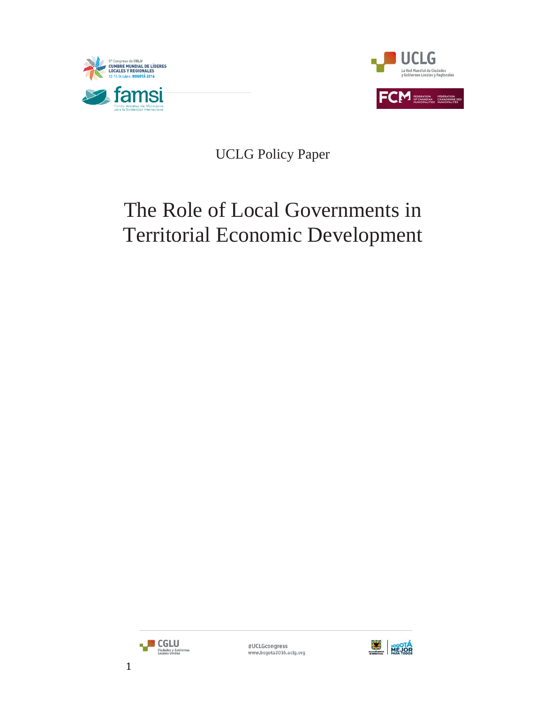



UCLG Policy Paper

# The Role of Local Governments in Territorial Economic Development



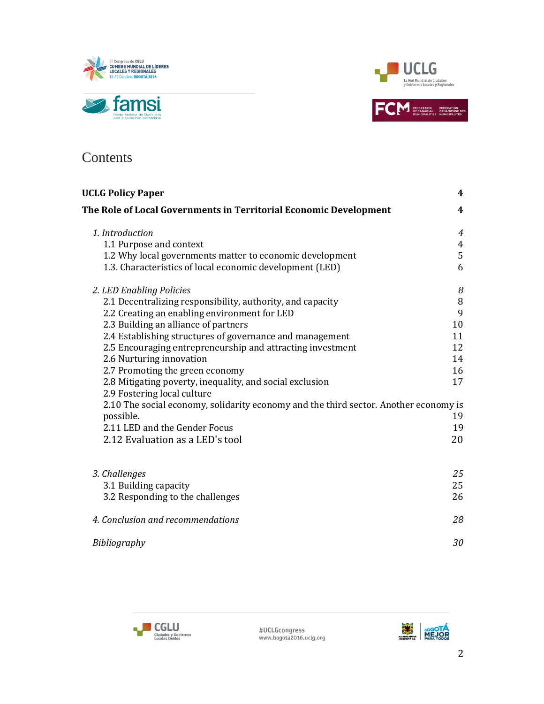



### **Contents**

| <b>UCLG Policy Paper</b>                                                             | 4              |
|--------------------------------------------------------------------------------------|----------------|
| The Role of Local Governments in Territorial Economic Development                    | 4              |
| 1. Introduction                                                                      | $\overline{4}$ |
| 1.1 Purpose and context                                                              | $\overline{4}$ |
| 1.2 Why local governments matter to economic development                             | 5              |
| 1.3. Characteristics of local economic development (LED)                             | 6              |
| 2. LED Enabling Policies                                                             | 8              |
| 2.1 Decentralizing responsibility, authority, and capacity                           | $\, 8$         |
| 2.2 Creating an enabling environment for LED                                         | 9              |
| 2.3 Building an alliance of partners                                                 | 10             |
| 2.4 Establishing structures of governance and management                             | 11             |
| 2.5 Encouraging entrepreneurship and attracting investment                           | 12             |
| 2.6 Nurturing innovation                                                             | 14             |
| 2.7 Promoting the green economy                                                      | 16             |
| 2.8 Mitigating poverty, inequality, and social exclusion                             | 17             |
| 2.9 Fostering local culture                                                          |                |
| 2.10 The social economy, solidarity economy and the third sector. Another economy is |                |
| possible.                                                                            | 19             |
| 2.11 LED and the Gender Focus                                                        | 19             |
| 2.12 Evaluation as a LED's tool                                                      | 20             |
| 3. Challenges                                                                        | 25             |
| 3.1 Building capacity                                                                | 25             |
| 3.2 Responding to the challenges                                                     | 26             |
|                                                                                      |                |
| 4. Conclusion and recommendations                                                    | 28             |
| Bibliography                                                                         | 30             |



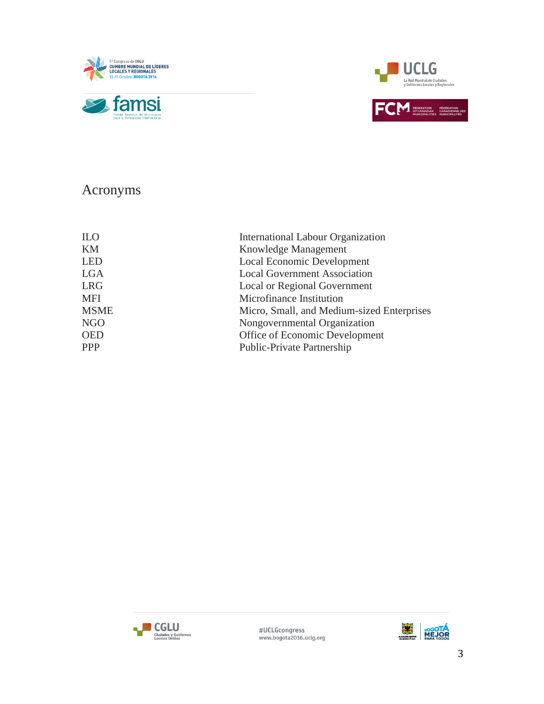





# Acronyms

| <b>ILO</b>  | International Labour Organization          |
|-------------|--------------------------------------------|
| KM          | Knowledge Management                       |
| <b>LED</b>  | Local Economic Development                 |
| <b>LGA</b>  | <b>Local Government Association</b>        |
| <b>LRG</b>  | Local or Regional Government               |
| <b>MFI</b>  | Microfinance Institution                   |
| <b>MSME</b> | Micro, Small, and Medium-sized Enterprises |
| NGO         | Nongovernmental Organization               |
| <b>OED</b>  | Office of Economic Development             |
| <b>PPP</b>  | Public-Private Partnership                 |
|             |                                            |



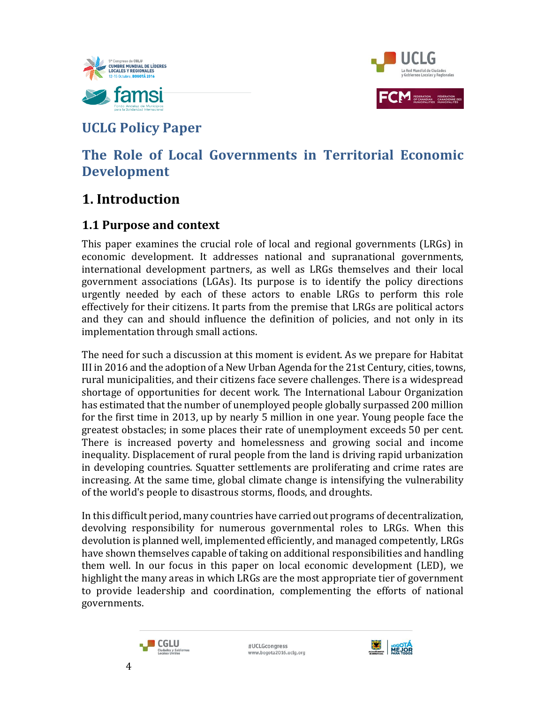



# **UCLG Policy Paper**

# **The Role of Local Governments in Territorial Economic Development**

# **1. Introduction**

### **1.1 Purpose and context**

This paper examines the crucial role of local and regional governments (LRGs) in economic development. It addresses national and supranational governments, international development partners, as well as LRGs themselves and their local government associations (LGAs). Its purpose is to identify the policy directions urgently needed by each of these actors to enable LRGs to perform this role effectively for their citizens. It parts from the premise that LRGs are political actors and they can and should influence the definition of policies, and not only in its implementation through small actions.

The need for such a discussion at this moment is evident. As we prepare for Habitat III in 2016 and the adoption of a New Urban Agenda for the 21st Century, cities, towns, rural municipalities, and their citizens face severe challenges. There is a widespread shortage of opportunities for decent work. The International Labour Organization has estimated that the number of unemployed people globally surpassed 200 million for the first time in 2013, up by nearly 5 million in one year. Young people face the greatest obstacles; in some places their rate of unemployment exceeds 50 per cent. There is increased poverty and homelessness and growing social and income inequality. Displacement of rural people from the land is driving rapid urbanization in developing countries. Squatter settlements are proliferating and crime rates are increasing. At the same time, global climate change is intensifying the vulnerability of the world's people to disastrous storms, floods, and droughts.

In this difficult period, many countries have carried out programs of decentralization, devolving responsibility for numerous governmental roles to LRGs. When this devolution is planned well, implemented efficiently, and managed competently, LRGs have shown themselves capable of taking on additional responsibilities and handling them well. In our focus in this paper on local economic development (LED), we highlight the many areas in which LRGs are the most appropriate tier of government to provide leadership and coordination, complementing the efforts of national governments.



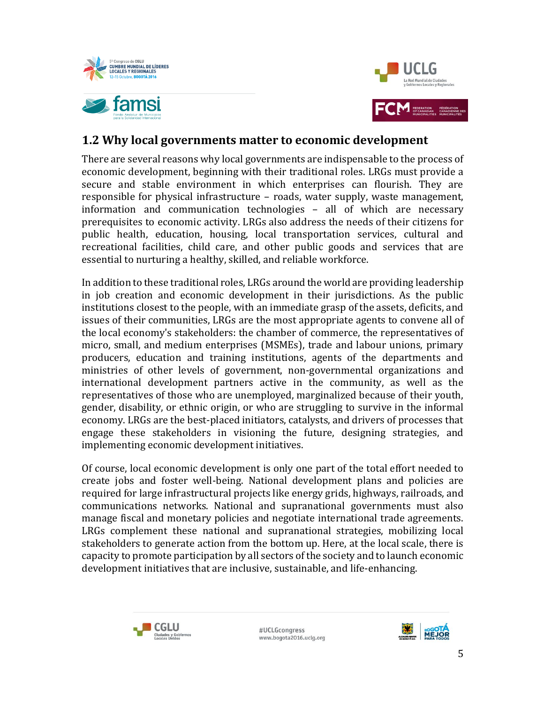



### **1.2 Why local governments matter to economic development**

There are several reasons why local governments are indispensable to the process of economic development, beginning with their traditional roles. LRGs must provide a secure and stable environment in which enterprises can flourish. They are responsible for physical infrastructure – roads, water supply, waste management, information and communication technologies – all of which are necessary prerequisites to economic activity. LRGs also address the needs of their citizens for public health, education, housing, local transportation services, cultural and recreational facilities, child care, and other public goods and services that are essential to nurturing a healthy, skilled, and reliable workforce.

In addition to these traditional roles, LRGs around the world are providing leadership in job creation and economic development in their jurisdictions. As the public institutions closest to the people, with an immediate grasp of the assets, deficits, and issues of their communities, LRGs are the most appropriate agents to convene all of the local economy's stakeholders: the chamber of commerce, the representatives of micro, small, and medium enterprises (MSMEs), trade and labour unions, primary producers, education and training institutions, agents of the departments and ministries of other levels of government, non-governmental organizations and international development partners active in the community, as well as the representatives of those who are unemployed, marginalized because of their youth, gender, disability, or ethnic origin, or who are struggling to survive in the informal economy. LRGs are the best-placed initiators, catalysts, and drivers of processes that engage these stakeholders in visioning the future, designing strategies, and implementing economic development initiatives.

Of course, local economic development is only one part of the total effort needed to create jobs and foster well-being. National development plans and policies are required for large infrastructural projects like energy grids, highways, railroads, and communications networks. National and supranational governments must also manage fiscal and monetary policies and negotiate international trade agreements. LRGs complement these national and supranational strategies, mobilizing local stakeholders to generate action from the bottom up. Here, at the local scale, there is capacity to promote participation by all sectors of the society and to launch economic development initiatives that are inclusive, sustainable, and life-enhancing.



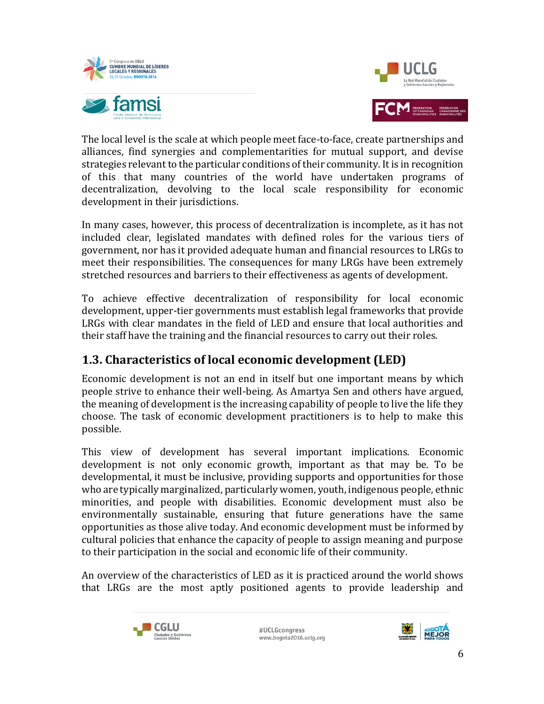



The local level is the scale at which people meet face-to-face, create partnerships and alliances, find synergies and complementarities for mutual support, and devise strategies relevant to the particular conditions of their community. It is in recognition of this that many countries of the world have undertaken programs of decentralization, devolving to the local scale responsibility for economic development in their jurisdictions.

In many cases, however, this process of decentralization is incomplete, as it has not included clear, legislated mandates with defined roles for the various tiers of government, nor has it provided adequate human and financial resources to LRGs to meet their responsibilities. The consequences for many LRGs have been extremely stretched resources and barriers to their effectiveness as agents of development.

To achieve effective decentralization of responsibility for local economic development, upper-tier governments must establish legal frameworks that provide LRGs with clear mandates in the field of LED and ensure that local authorities and their staff have the training and the financial resources to carry out their roles.

### **1.3. Characteristics of local economic development (LED)**

Economic development is not an end in itself but one important means by which people strive to enhance their well-being. As Amartya Sen and others have argued, the meaning of development is the increasing capability of people to live the life they choose. The task of economic development practitioners is to help to make this possible.

This view of development has several important implications. Economic development is not only economic growth, important as that may be. To be developmental, it must be inclusive, providing supports and opportunities for those who are typically marginalized, particularly women, youth, indigenous people, ethnic minorities, and people with disabilities. Economic development must also be environmentally sustainable, ensuring that future generations have the same opportunities as those alive today. And economic development must be informed by cultural policies that enhance the capacity of people to assign meaning and purpose to their participation in the social and economic life of their community.

An overview of the characteristics of LED as it is practiced around the world shows that LRGs are the most aptly positioned agents to provide leadership and



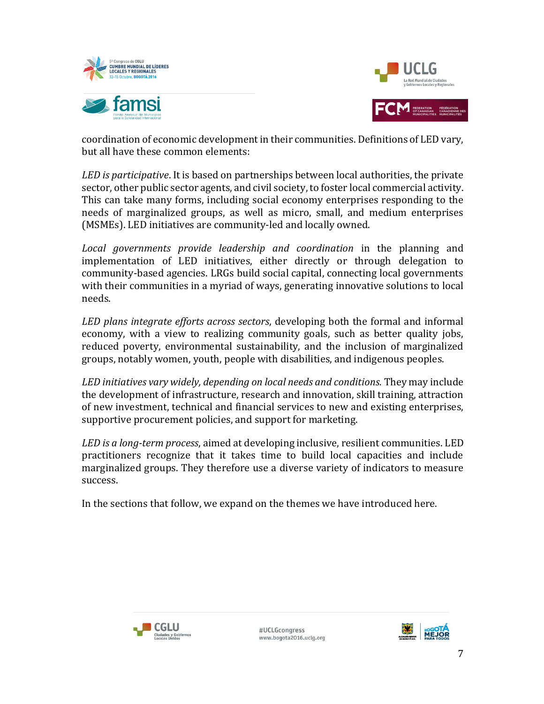



coordination of economic development in their communities. Definitions of LED vary, but all have these common elements:

*LED is participative*. It is based on partnerships between local authorities, the private sector, other public sector agents, and civil society, to foster local commercial activity. This can take many forms, including social economy enterprises responding to the needs of marginalized groups, as well as micro, small, and medium enterprises (MSMEs). LED initiatives are community-led and locally owned.

*Local governments provide leadership and coordination* in the planning and implementation of LED initiatives, either directly or through delegation to community-based agencies. LRGs build social capital, connecting local governments with their communities in a myriad of ways, generating innovative solutions to local needs.

*LED plans integrate efforts across sectors*, developing both the formal and informal economy, with a view to realizing community goals, such as better quality jobs, reduced poverty, environmental sustainability, and the inclusion of marginalized groups, notably women, youth, people with disabilities, and indigenous peoples.

*LED initiatives vary widely, depending on local needs and conditions.* They may include the development of infrastructure, research and innovation, skill training, attraction of new investment, technical and financial services to new and existing enterprises, supportive procurement policies, and support for marketing.

*LED is a long-term process*, aimed at developing inclusive, resilient communities. LED practitioners recognize that it takes time to build local capacities and include marginalized groups. They therefore use a diverse variety of indicators to measure success.

In the sections that follow, we expand on the themes we have introduced here.



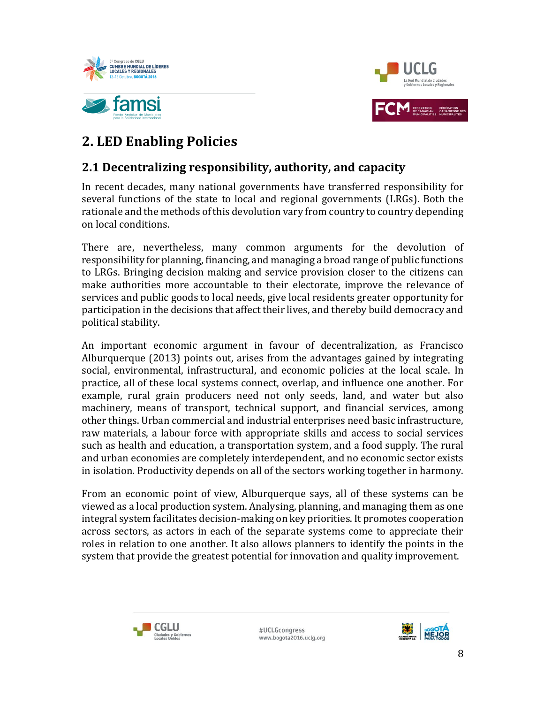



# **2. LED Enabling Policies**

### **2.1 Decentralizing responsibility, authority, and capacity**

In recent decades, many national governments have transferred responsibility for several functions of the state to local and regional governments (LRGs). Both the rationale and the methods of this devolution vary from country to country depending on local conditions.

There are, nevertheless, many common arguments for the devolution of responsibility for planning, financing, and managing a broad range of public functions to LRGs. Bringing decision making and service provision closer to the citizens can make authorities more accountable to their electorate, improve the relevance of services and public goods to local needs, give local residents greater opportunity for participation in the decisions that affect their lives, and thereby build democracy and political stability.

An important economic argument in favour of decentralization, as Francisco Alburquerque (2013) points out, arises from the advantages gained by integrating social, environmental, infrastructural, and economic policies at the local scale. In practice, all of these local systems connect, overlap, and influence one another. For example, rural grain producers need not only seeds, land, and water but also machinery, means of transport, technical support, and financial services, among other things. Urban commercial and industrial enterprises need basic infrastructure, raw materials, a labour force with appropriate skills and access to social services such as health and education, a transportation system, and a food supply. The rural and urban economies are completely interdependent, and no economic sector exists in isolation. Productivity depends on all of the sectors working together in harmony.

From an economic point of view, Alburquerque says, all of these systems can be viewed as a local production system. Analysing, planning, and managing them as one integral system facilitates decision-making on key priorities. It promotes cooperation across sectors, as actors in each of the separate systems come to appreciate their roles in relation to one another. It also allows planners to identify the points in the system that provide the greatest potential for innovation and quality improvement.



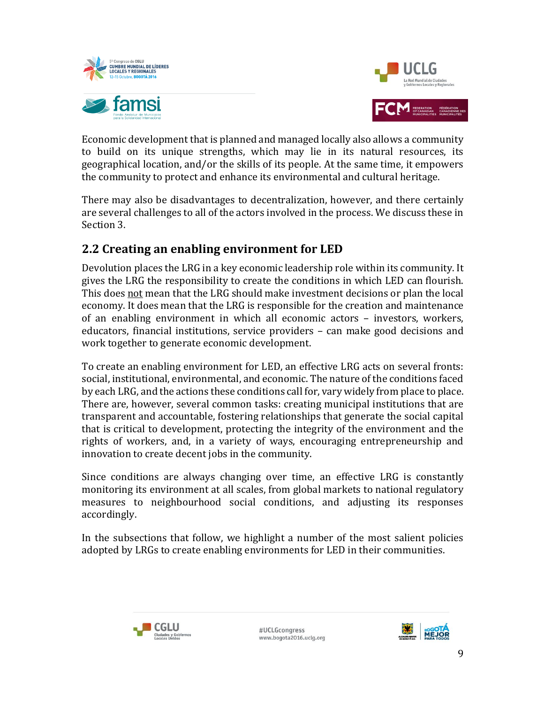



Economic development that is planned and managed locally also allows a community to build on its unique strengths, which may lie in its natural resources, its geographical location, and/or the skills of its people. At the same time, it empowers the community to protect and enhance its environmental and cultural heritage.

There may also be disadvantages to decentralization, however, and there certainly are several challenges to all of the actors involved in the process. We discuss these in Section 3.

### **2.2 Creating an enabling environment for LED**

Devolution places the LRG in a key economic leadership role within its community. It gives the LRG the responsibility to create the conditions in which LED can flourish. This does not mean that the LRG should make investment decisions or plan the local economy. It does mean that the LRG is responsible for the creation and maintenance of an enabling environment in which all economic actors – investors, workers, educators, financial institutions, service providers – can make good decisions and work together to generate economic development.

To create an enabling environment for LED, an effective LRG acts on several fronts: social, institutional, environmental, and economic. The nature of the conditions faced by each LRG, and the actions these conditions call for, vary widely from place to place. There are, however, several common tasks: creating municipal institutions that are transparent and accountable, fostering relationships that generate the social capital that is critical to development, protecting the integrity of the environment and the rights of workers, and, in a variety of ways, encouraging entrepreneurship and innovation to create decent jobs in the community.

Since conditions are always changing over time, an effective LRG is constantly monitoring its environment at all scales, from global markets to national regulatory measures to neighbourhood social conditions, and adjusting its responses accordingly.

In the subsections that follow, we highlight a number of the most salient policies adopted by LRGs to create enabling environments for LED in their communities.



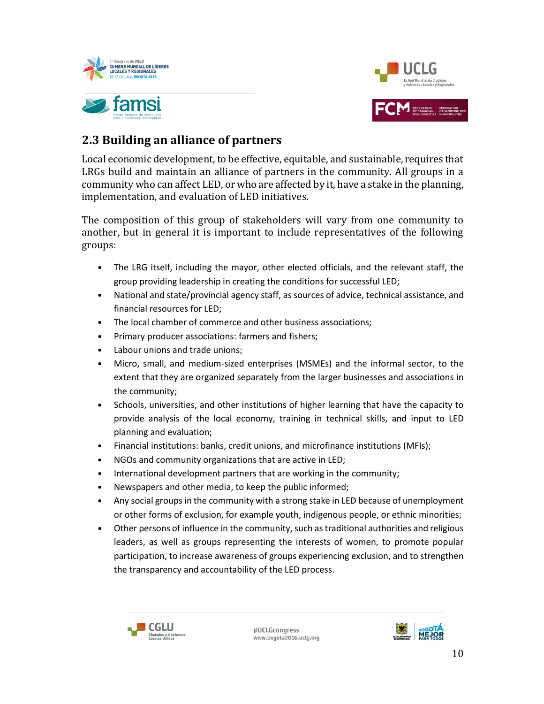



## **2.3 Building an alliance of partners**

Local economic development, to be effective, equitable, and sustainable, requires that LRGs build and maintain an alliance of partners in the community. All groups in a community who can affect LED, or who are affected by it, have a stake in the planning, implementation, and evaluation of LED initiatives.

The composition of this group of stakeholders will vary from one community to another, but in general it is important to include representatives of the following groups:

- The LRG itself, including the mayor, other elected officials, and the relevant staff, the group providing leadership in creating the conditions for successful LED;
- National and state/provincial agency staff, as sources of advice, technical assistance, and financial resources for LED;
- The local chamber of commerce and other business associations;
- Primary producer associations: farmers and fishers;
- Labour unions and trade unions;
- Micro, small, and medium-sized enterprises (MSMEs) and the informal sector, to the extent that they are organized separately from the larger businesses and associations in the community;
- Schools, universities, and other institutions of higher learning that have the capacity to provide analysis of the local economy, training in technical skills, and input to LED planning and evaluation;
- Financial institutions: banks, credit unions, and microfinance institutions (MFIs);
- NGOs and community organizations that are active in LED;
- International development partners that are working in the community;
- Newspapers and other media, to keep the public informed;
- Any social groups in the community with a strong stake in LED because of unemployment or other forms of exclusion, for example youth, indigenous people, or ethnic minorities;
- Other persons of influence in the community, such as traditional authorities and religious leaders, as well as groups representing the interests of women, to promote popular participation, to increase awareness of groups experiencing exclusion, and to strengthen the transparency and accountability of the LED process.



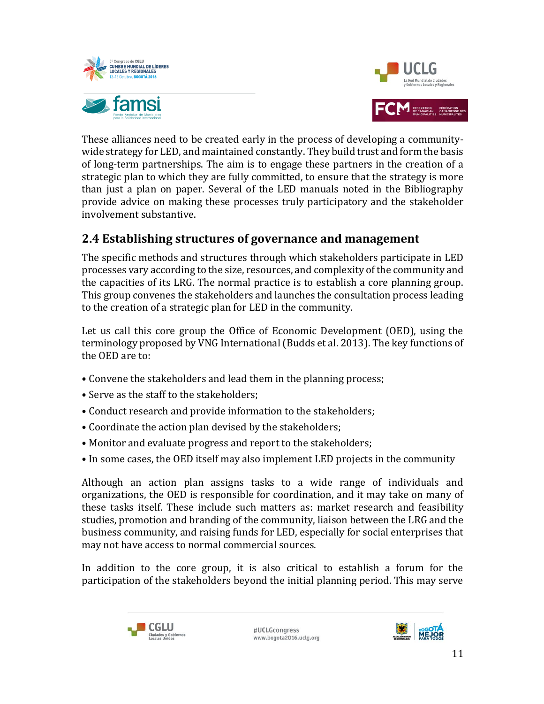



These alliances need to be created early in the process of developing a communitywide strategy for LED, and maintained constantly. They build trust and form the basis of long-term partnerships. The aim is to engage these partners in the creation of a strategic plan to which they are fully committed, to ensure that the strategy is more than just a plan on paper. Several of the LED manuals noted in the Bibliography provide advice on making these processes truly participatory and the stakeholder involvement substantive.

### **2.4 Establishing structures of governance and management**

The specific methods and structures through which stakeholders participate in LED processes vary according to the size, resources, and complexity of the community and the capacities of its LRG. The normal practice is to establish a core planning group. This group convenes the stakeholders and launches the consultation process leading to the creation of a strategic plan for LED in the community.

Let us call this core group the Office of Economic Development (OED), using the terminology proposed by VNG International (Budds et al. 2013). The key functions of the OED are to:

- Convene the stakeholders and lead them in the planning process;
- Serve as the staff to the stakeholders;
- Conduct research and provide information to the stakeholders;
- Coordinate the action plan devised by the stakeholders;
- Monitor and evaluate progress and report to the stakeholders;
- In some cases, the OED itself may also implement LED projects in the community

Although an action plan assigns tasks to a wide range of individuals and organizations, the OED is responsible for coordination, and it may take on many of these tasks itself. These include such matters as: market research and feasibility studies, promotion and branding of the community, liaison between the LRG and the business community, and raising funds for LED, especially for social enterprises that may not have access to normal commercial sources.

In addition to the core group, it is also critical to establish a forum for the participation of the stakeholders beyond the initial planning period. This may serve



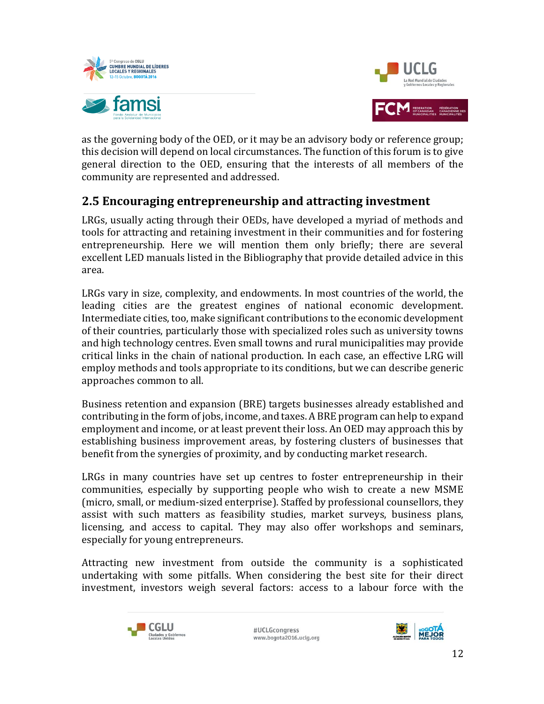



as the governing body of the OED, or it may be an advisory body or reference group; this decision will depend on local circumstances. The function of this forum is to give general direction to the OED, ensuring that the interests of all members of the community are represented and addressed.

### **2.5 Encouraging entrepreneurship and attracting investment**

LRGs, usually acting through their OEDs, have developed a myriad of methods and tools for attracting and retaining investment in their communities and for fostering entrepreneurship. Here we will mention them only briefly; there are several excellent LED manuals listed in the Bibliography that provide detailed advice in this area.

LRGs vary in size, complexity, and endowments. In most countries of the world, the leading cities are the greatest engines of national economic development. Intermediate cities, too, make significant contributions to the economic development of their countries, particularly those with specialized roles such as university towns and high technology centres. Even small towns and rural municipalities may provide critical links in the chain of national production. In each case, an effective LRG will employ methods and tools appropriate to its conditions, but we can describe generic approaches common to all.

Business retention and expansion (BRE) targets businesses already established and contributing in the form of jobs, income, and taxes. A BRE program can help to expand employment and income, or at least prevent their loss. An OED may approach this by establishing business improvement areas, by fostering clusters of businesses that benefit from the synergies of proximity, and by conducting market research.

LRGs in many countries have set up centres to foster entrepreneurship in their communities, especially by supporting people who wish to create a new MSME (micro, small, or medium-sized enterprise). Staffed by professional counsellors, they assist with such matters as feasibility studies, market surveys, business plans, licensing, and access to capital. They may also offer workshops and seminars, especially for young entrepreneurs.

Attracting new investment from outside the community is a sophisticated undertaking with some pitfalls. When considering the best site for their direct investment, investors weigh several factors: access to a labour force with the



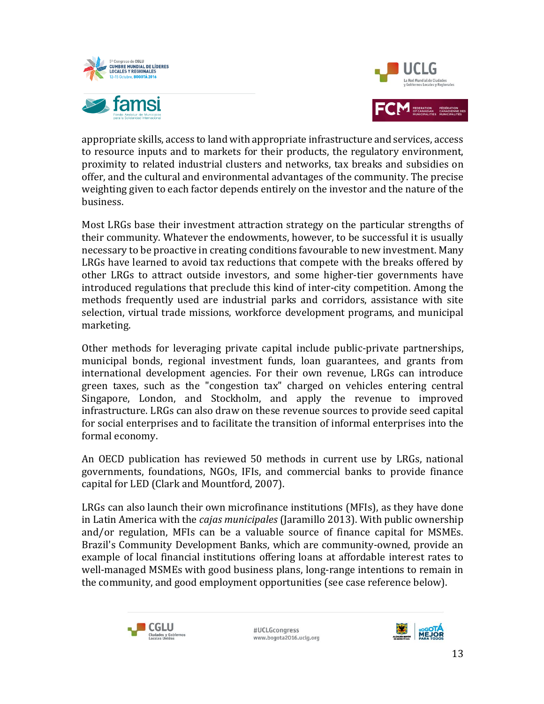



appropriate skills, access to land with appropriate infrastructure and services, access to resource inputs and to markets for their products, the regulatory environment, proximity to related industrial clusters and networks, tax breaks and subsidies on offer, and the cultural and environmental advantages of the community. The precise weighting given to each factor depends entirely on the investor and the nature of the business.

Most LRGs base their investment attraction strategy on the particular strengths of their community. Whatever the endowments, however, to be successful it is usually necessary to be proactive in creating conditions favourable to new investment. Many LRGs have learned to avoid tax reductions that compete with the breaks offered by other LRGs to attract outside investors, and some higher-tier governments have introduced regulations that preclude this kind of inter-city competition. Among the methods frequently used are industrial parks and corridors, assistance with site selection, virtual trade missions, workforce development programs, and municipal marketing.

Other methods for leveraging private capital include public-private partnerships, municipal bonds, regional investment funds, loan guarantees, and grants from international development agencies. For their own revenue, LRGs can introduce green taxes, such as the "congestion tax" charged on vehicles entering central Singapore, London, and Stockholm, and apply the revenue to improved infrastructure. LRGs can also draw on these revenue sources to provide seed capital for social enterprises and to facilitate the transition of informal enterprises into the formal economy.

An OECD publication has reviewed 50 methods in current use by LRGs, national governments, foundations, NGOs, IFIs, and commercial banks to provide finance capital for LED (Clark and Mountford, 2007).

LRGs can also launch their own microfinance institutions (MFIs), as they have done in Latin America with the *cajas municipales* (Jaramillo 2013). With public ownership and/or regulation, MFIs can be a valuable source of finance capital for MSMEs. Brazil's Community Development Banks, which are community-owned, provide an example of local financial institutions offering loans at affordable interest rates to well-managed MSMEs with good business plans, long-range intentions to remain in the community, and good employment opportunities (see case reference below).



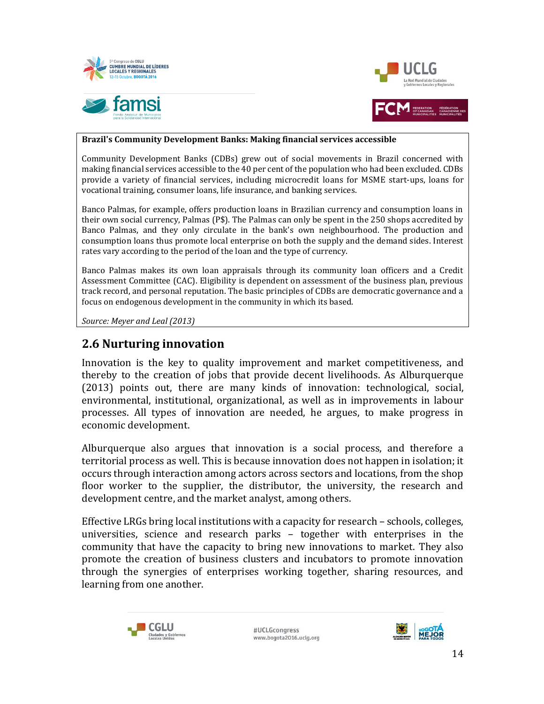



#### **Brazil's Community Development Banks: Making financial services accessible**

Community Development Banks (CDBs) grew out of social movements in Brazil concerned with making financial services accessible to the 40 per cent of the population who had been excluded. CDBs provide a variety of financial services, including microcredit loans for MSME start-ups, loans for vocational training, consumer loans, life insurance, and banking services.

Banco Palmas, for example, offers production loans in Brazilian currency and consumption loans in their own social currency, Palmas (P\$). The Palmas can only be spent in the 250 shops accredited by Banco Palmas, and they only circulate in the bank's own neighbourhood. The production and consumption loans thus promote local enterprise on both the supply and the demand sides. Interest rates vary according to the period of the loan and the type of currency.

Banco Palmas makes its own loan appraisals through its community loan officers and a Credit Assessment Committee (CAC). Eligibility is dependent on assessment of the business plan, previous track record, and personal reputation. The basic principles of CDBs are democratic governance and a focus on endogenous development in the community in which its based.

*Source: Meyer and Leal (2013)*

### **2.6 Nurturing innovation**

Innovation is the key to quality improvement and market competitiveness, and thereby to the creation of jobs that provide decent livelihoods. As Alburquerque (2013) points out, there are many kinds of innovation: technological, social, environmental, institutional, organizational, as well as in improvements in labour processes. All types of innovation are needed, he argues, to make progress in economic development.

Alburquerque also argues that innovation is a social process, and therefore a territorial process as well. This is because innovation does not happen in isolation; it occurs through interaction among actors across sectors and locations, from the shop floor worker to the supplier, the distributor, the university, the research and development centre, and the market analyst, among others.

Effective LRGs bring local institutions with a capacity for research – schools, colleges, universities, science and research parks – together with enterprises in the community that have the capacity to bring new innovations to market. They also promote the creation of business clusters and incubators to promote innovation through the synergies of enterprises working together, sharing resources, and learning from one another.



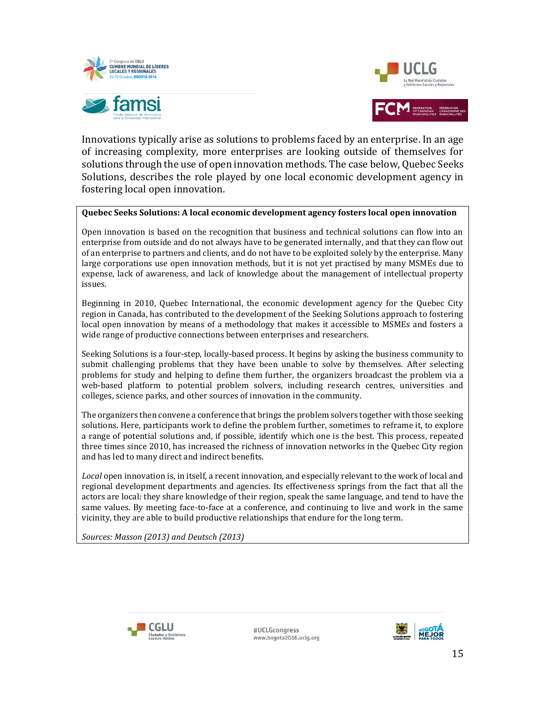



Innovations typically arise as solutions to problems faced by an enterprise. In an age of increasing complexity, more enterprises are looking outside of themselves for solutions through the use of open innovation methods. The case below, Quebec Seeks Solutions, describes the role played by one local economic development agency in fostering local open innovation.

#### **Quebec Seeks Solutions: A local economic development agency fosters local open innovation**

Open innovation is based on the recognition that business and technical solutions can flow into an enterprise from outside and do not always have to be generated internally, and that they can flow out of an enterprise to partners and clients, and do not have to be exploited solely by the enterprise. Many large corporations use open innovation methods, but it is not yet practised by many MSMEs due to expense, lack of awareness, and lack of knowledge about the management of intellectual property issues.

Beginning in 2010, Quebec International, the economic development agency for the Quebec City region in Canada, has contributed to the development of the Seeking Solutions approach to fostering local open innovation by means of a methodology that makes it accessible to MSMEs and fosters a wide range of productive connections between enterprises and researchers.

Seeking Solutions is a four-step, locally-based process. It begins by asking the business community to submit challenging problems that they have been unable to solve by themselves. After selecting problems for study and helping to define them further, the organizers broadcast the problem via a web-based platform to potential problem solvers, including research centres, universities and colleges, science parks, and other sources of innovation in the community.

The organizers then convene a conference that brings the problem solvers together with those seeking solutions. Here, participants work to define the problem further, sometimes to reframe it, to explore a range of potential solutions and, if possible, identify which one is the best. This process, repeated three times since 2010, has increased the richness of innovation networks in the Quebec City region and has led to many direct and indirect benefits.

*Local* open innovation is, in itself, a recent innovation, and especially relevant to the work of local and regional development departments and agencies. Its effectiveness springs from the fact that all the actors are local: they share knowledge of their region, speak the same language, and tend to have the same values. By meeting face-to-face at a conference, and continuing to live and work in the same vicinity, they are able to build productive relationships that endure for the long term.

*Sources: Masson (2013) and Deutsch (2013)*



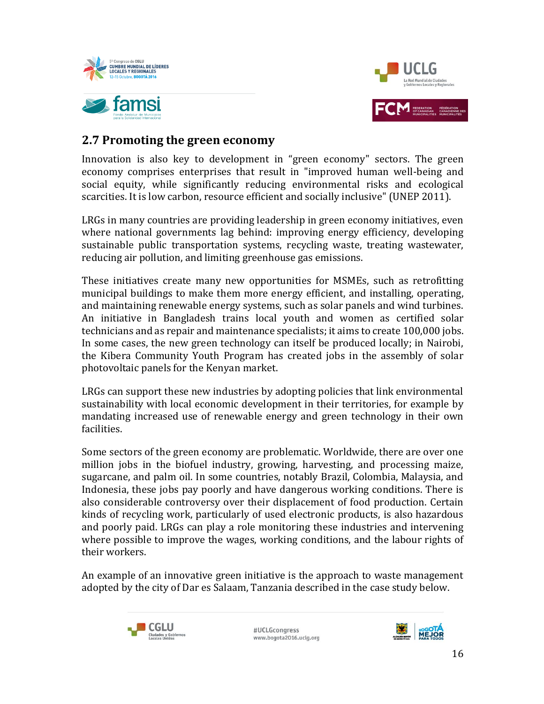



### **2.7 Promoting the green economy**

Innovation is also key to development in "green economy" sectors. The green economy comprises enterprises that result in "improved human well-being and social equity, while significantly reducing environmental risks and ecological scarcities. It is low carbon, resource efficient and socially inclusive" (UNEP 2011).

LRGs in many countries are providing leadership in green economy initiatives, even where national governments lag behind: improving energy efficiency, developing sustainable public transportation systems, recycling waste, treating wastewater, reducing air pollution, and limiting greenhouse gas emissions.

These initiatives create many new opportunities for MSMEs, such as retrofitting municipal buildings to make them more energy efficient, and installing, operating, and maintaining renewable energy systems, such as solar panels and wind turbines. An initiative in Bangladesh trains local youth and women as certified solar technicians and as repair and maintenance specialists; it aims to create 100,000 jobs. In some cases, the new green technology can itself be produced locally; in Nairobi, the Kibera Community Youth Program has created jobs in the assembly of solar photovoltaic panels for the Kenyan market.

LRGs can support these new industries by adopting policies that link environmental sustainability with local economic development in their territories, for example by mandating increased use of renewable energy and green technology in their own facilities.

Some sectors of the green economy are problematic. Worldwide, there are over one million jobs in the biofuel industry, growing, harvesting, and processing maize, sugarcane, and palm oil. In some countries, notably Brazil, Colombia, Malaysia, and Indonesia, these jobs pay poorly and have dangerous working conditions. There is also considerable controversy over their displacement of food production. Certain kinds of recycling work, particularly of used electronic products, is also hazardous and poorly paid. LRGs can play a role monitoring these industries and intervening where possible to improve the wages, working conditions, and the labour rights of their workers.

An example of an innovative green initiative is the approach to waste management adopted by the city of Dar es Salaam, Tanzania described in the case study below.



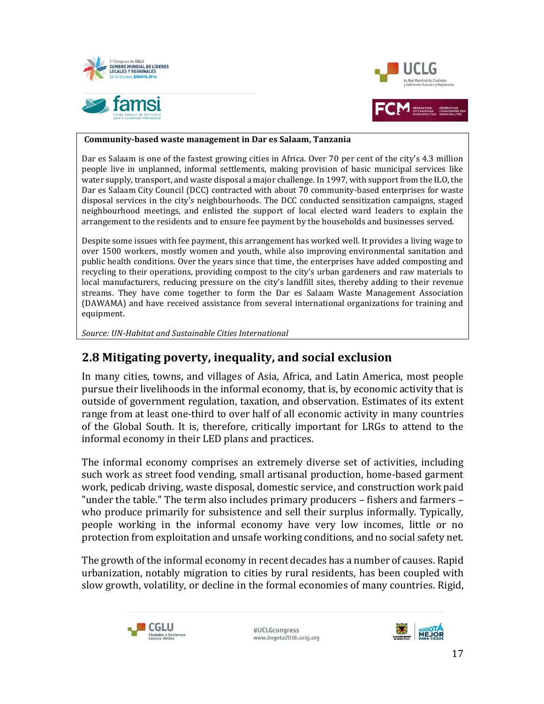



#### **Community-based waste management in Dar es Salaam, Tanzania**

Dar es Salaam is one of the fastest growing cities in Africa. Over 70 per cent of the city's 4.3 million people live in unplanned, informal settlements, making provision of basic municipal services like water supply, transport, and waste disposal a major challenge. In 1997, with support from the ILO, the Dar es Salaam City Council (DCC) contracted with about 70 community-based enterprises for waste disposal services in the city's neighbourhoods. The DCC conducted sensitization campaigns, staged neighbourhood meetings, and enlisted the support of local elected ward leaders to explain the arrangement to the residents and to ensure fee payment by the households and businesses served.

Despite some issues with fee payment, this arrangement has worked well. It provides a living wage to over 1500 workers, mostly women and youth, while also improving environmental sanitation and public health conditions. Over the years since that time, the enterprises have added composting and recycling to their operations, providing compost to the city's urban gardeners and raw materials to local manufacturers, reducing pressure on the city's landfill sites, thereby adding to their revenue streams. They have come together to form the Dar es Salaam Waste Management Association (DAWAMA) and have received assistance from several international organizations for training and equipment.

*Source: UN-Habitat and Sustainable Cities International*

### **2.8 Mitigating poverty, inequality, and social exclusion**

In many cities, towns, and villages of Asia, Africa, and Latin America, most people pursue their livelihoods in the informal economy, that is, by economic activity that is outside of government regulation, taxation, and observation. Estimates of its extent range from at least one-third to over half of all economic activity in many countries of the Global South. It is, therefore, critically important for LRGs to attend to the informal economy in their LED plans and practices.

The informal economy comprises an extremely diverse set of activities, including such work as street food vending, small artisanal production, home-based garment work, pedicab driving, waste disposal, domestic service, and construction work paid "under the table." The term also includes primary producers – fishers and farmers – who produce primarily for subsistence and sell their surplus informally. Typically, people working in the informal economy have very low incomes, little or no protection from exploitation and unsafe working conditions, and no social safety net.

The growth of the informal economy in recent decades has a number of causes. Rapid urbanization, notably migration to cities by rural residents, has been coupled with slow growth, volatility, or decline in the formal economies of many countries. Rigid,



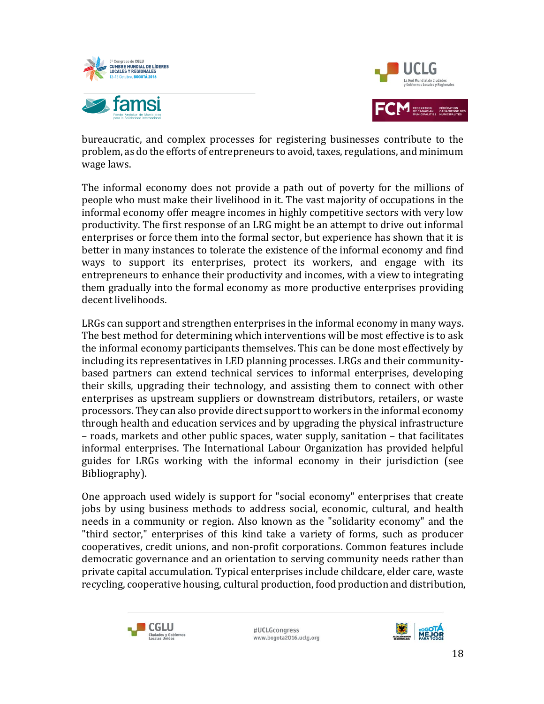



bureaucratic, and complex processes for registering businesses contribute to the problem, as do the efforts of entrepreneurs to avoid, taxes, regulations, and minimum wage laws.

The informal economy does not provide a path out of poverty for the millions of people who must make their livelihood in it. The vast majority of occupations in the informal economy offer meagre incomes in highly competitive sectors with very low productivity. The first response of an LRG might be an attempt to drive out informal enterprises or force them into the formal sector, but experience has shown that it is better in many instances to tolerate the existence of the informal economy and find ways to support its enterprises, protect its workers, and engage with its entrepreneurs to enhance their productivity and incomes, with a view to integrating them gradually into the formal economy as more productive enterprises providing decent livelihoods.

LRGs can support and strengthen enterprises in the informal economy in many ways. The best method for determining which interventions will be most effective is to ask the informal economy participants themselves. This can be done most effectively by including its representatives in LED planning processes. LRGs and their communitybased partners can extend technical services to informal enterprises, developing their skills, upgrading their technology, and assisting them to connect with other enterprises as upstream suppliers or downstream distributors, retailers, or waste processors. They can also provide direct support to workers in the informal economy through health and education services and by upgrading the physical infrastructure – roads, markets and other public spaces, water supply, sanitation – that facilitates informal enterprises. The International Labour Organization has provided helpful guides for LRGs working with the informal economy in their jurisdiction (see Bibliography).

One approach used widely is support for "social economy" enterprises that create jobs by using business methods to address social, economic, cultural, and health needs in a community or region. Also known as the "solidarity economy" and the "third sector," enterprises of this kind take a variety of forms, such as producer cooperatives, credit unions, and non-profit corporations. Common features include democratic governance and an orientation to serving community needs rather than private capital accumulation. Typical enterprises include childcare, elder care, waste recycling, cooperative housing, cultural production, food production and distribution,



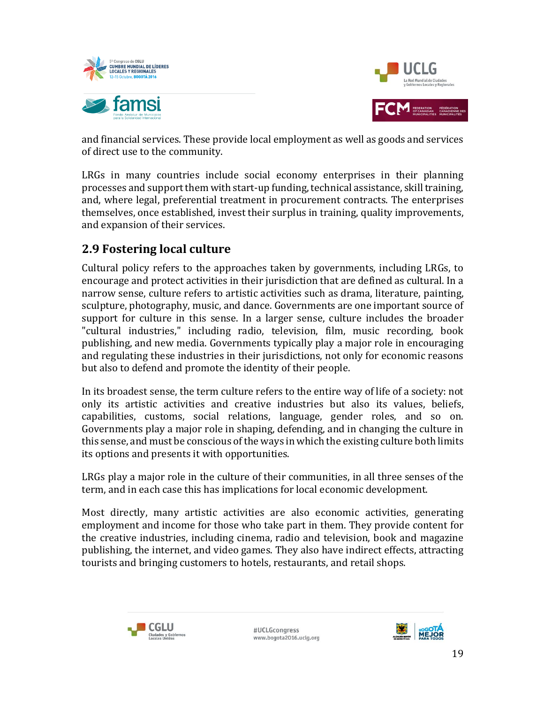



and financial services. These provide local employment as well as goods and services of direct use to the community.

LRGs in many countries include social economy enterprises in their planning processes and support them with start-up funding, technical assistance, skill training, and, where legal, preferential treatment in procurement contracts. The enterprises themselves, once established, invest their surplus in training, quality improvements, and expansion of their services.

### **2.9 Fostering local culture**

Cultural policy refers to the approaches taken by governments, including LRGs, to encourage and protect activities in their jurisdiction that are defined as cultural. In a narrow sense, culture refers to artistic activities such as drama, literature, painting, sculpture, photography, music, and dance. Governments are one important source of support for culture in this sense. In a larger sense, culture includes the broader "cultural industries," including radio, television, film, music recording, book publishing, and new media. Governments typically play a major role in encouraging and regulating these industries in their jurisdictions, not only for economic reasons but also to defend and promote the identity of their people.

In its broadest sense, the term culture refers to the entire way of life of a society: not only its artistic activities and creative industries but also its values, beliefs, capabilities, customs, social relations, language, gender roles, and so on. Governments play a major role in shaping, defending, and in changing the culture in this sense, and must be conscious of the ways in which the existing culture both limits its options and presents it with opportunities.

LRGs play a major role in the culture of their communities, in all three senses of the term, and in each case this has implications for local economic development.

Most directly, many artistic activities are also economic activities, generating employment and income for those who take part in them. They provide content for the creative industries, including cinema, radio and television, book and magazine publishing, the internet, and video games. They also have indirect effects, attracting tourists and bringing customers to hotels, restaurants, and retail shops.



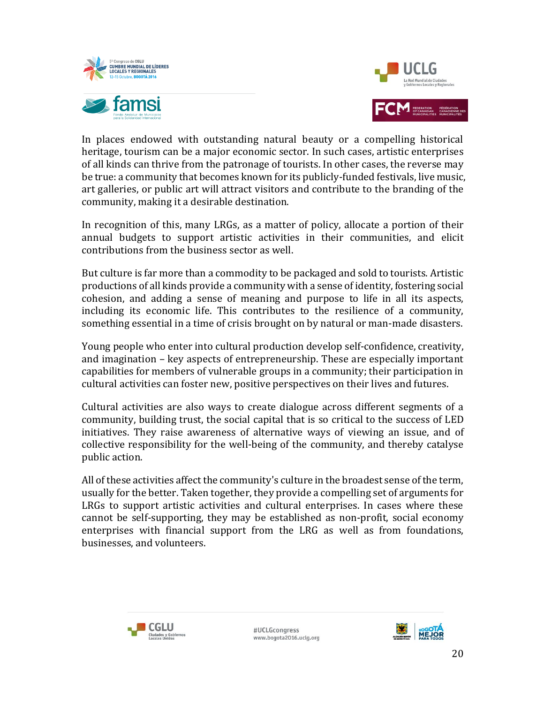



In places endowed with outstanding natural beauty or a compelling historical heritage, tourism can be a major economic sector. In such cases, artistic enterprises of all kinds can thrive from the patronage of tourists. In other cases, the reverse may be true: a community that becomes known for its publicly-funded festivals, live music, art galleries, or public art will attract visitors and contribute to the branding of the community, making it a desirable destination.

In recognition of this, many LRGs, as a matter of policy, allocate a portion of their annual budgets to support artistic activities in their communities, and elicit contributions from the business sector as well.

But culture is far more than a commodity to be packaged and sold to tourists. Artistic productions of all kinds provide a community with a sense of identity, fostering social cohesion, and adding a sense of meaning and purpose to life in all its aspects, including its economic life. This contributes to the resilience of a community, something essential in a time of crisis brought on by natural or man-made disasters.

Young people who enter into cultural production develop self-confidence, creativity, and imagination – key aspects of entrepreneurship. These are especially important capabilities for members of vulnerable groups in a community; their participation in cultural activities can foster new, positive perspectives on their lives and futures.

Cultural activities are also ways to create dialogue across different segments of a community, building trust, the social capital that is so critical to the success of LED initiatives. They raise awareness of alternative ways of viewing an issue, and of collective responsibility for the well-being of the community, and thereby catalyse public action.

All of these activities affect the community's culture in the broadest sense of the term, usually for the better. Taken together, they provide a compelling set of arguments for LRGs to support artistic activities and cultural enterprises. In cases where these cannot be self-supporting, they may be established as non-profit, social economy enterprises with financial support from the LRG as well as from foundations, businesses, and volunteers.



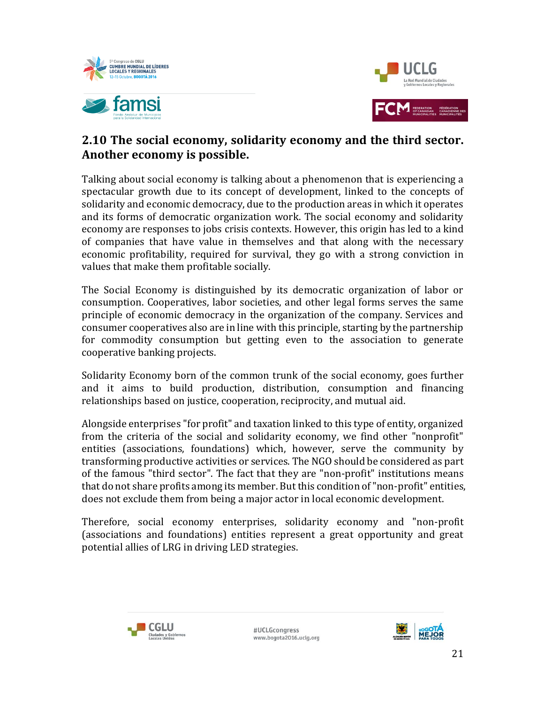



### **2.10 The social economy, solidarity economy and the third sector. Another economy is possible.**

Talking about social economy is talking about a phenomenon that is experiencing a spectacular growth due to its concept of development, linked to the concepts of solidarity and economic democracy, due to the production areas in which it operates and its forms of democratic organization work. The social economy and solidarity economy are responses to jobs crisis contexts. However, this origin has led to a kind of companies that have value in themselves and that along with the necessary economic profitability, required for survival, they go with a strong conviction in values that make them profitable socially.

The Social Economy is distinguished by its democratic organization of labor or consumption. Cooperatives, labor societies, and other legal forms serves the same principle of economic democracy in the organization of the company. Services and consumer cooperatives also are in line with this principle, starting by the partnership for commodity consumption but getting even to the association to generate cooperative banking projects.

Solidarity Economy born of the common trunk of the social economy, goes further and it aims to build production, distribution, consumption and financing relationships based on justice, cooperation, reciprocity, and mutual aid.

Alongside enterprises "for profit" and taxation linked to this type of entity, organized from the criteria of the social and solidarity economy, we find other "nonprofit" entities (associations, foundations) which, however, serve the community by transforming productive activities or services. The NGO should be considered as part of the famous "third sector". The fact that they are "non-profit" institutions means that do not share profits among its member. But this condition of "non-profit" entities, does not exclude them from being a major actor in local economic development.

Therefore, social economy enterprises, solidarity economy and "non-profit (associations and foundations) entities represent a great opportunity and great potential allies of LRG in driving LED strategies.



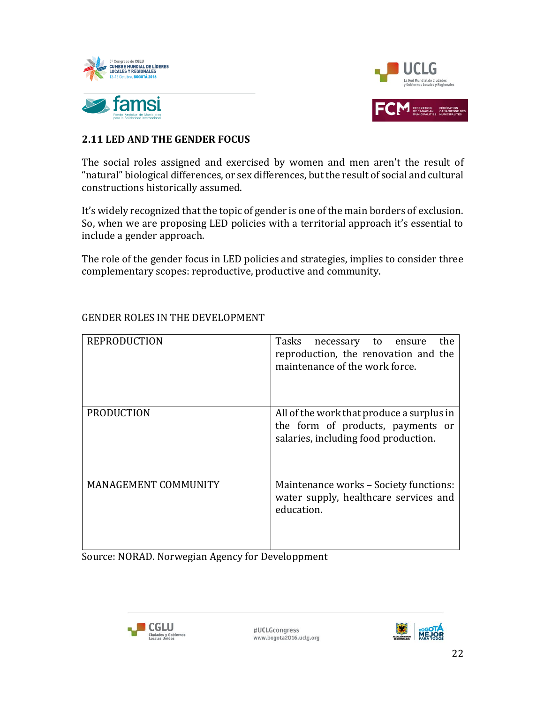



### **2.11 LED AND THE GENDER FOCUS**

The social roles assigned and exercised by women and men aren't the result of "natural" biological differences, or sex differences, but the result of social and cultural constructions historically assumed.

It's widely recognized that the topic of gender is one of the main borders of exclusion. So, when we are proposing LED policies with a territorial approach it's essential to include a gender approach.

The role of the gender focus in LED policies and strategies, implies to consider three complementary scopes: reproductive, productive and community.

| <b>REPRODUCTION</b>  | Tasks<br>the<br>necessary to ensure<br>reproduction, the renovation and the<br>maintenance of the work force.          |
|----------------------|------------------------------------------------------------------------------------------------------------------------|
| <b>PRODUCTION</b>    | All of the work that produce a surplus in<br>the form of products, payments or<br>salaries, including food production. |
| MANAGEMENT COMMUNITY | Maintenance works - Society functions:<br>water supply, healthcare services and<br>education.                          |

### GENDER ROLES IN THE DEVELOPMENT

Source: NORAD. Norwegian Agency for Developpment



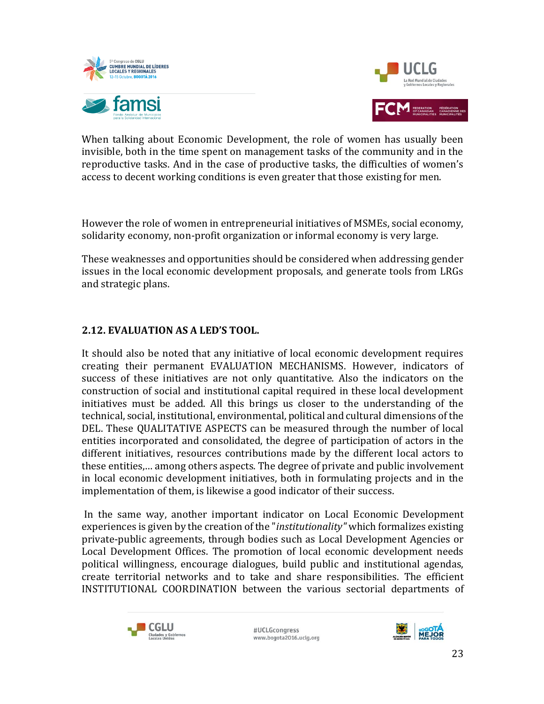



When talking about Economic Development, the role of women has usually been invisible, both in the time spent on management tasks of the community and in the reproductive tasks. And in the case of productive tasks, the difficulties of women's access to decent working conditions is even greater that those existing for men.

However the role of women in entrepreneurial initiatives of MSMEs, social economy, solidarity economy, non-profit organization or informal economy is very large.

These weaknesses and opportunities should be considered when addressing gender issues in the local economic development proposals, and generate tools from LRGs and strategic plans.

### **2.12. EVALUATION AS A LED'S TOOL.**

It should also be noted that any initiative of local economic development requires creating their permanent EVALUATION MECHANISMS. However, indicators of success of these initiatives are not only quantitative. Also the indicators on the construction of social and institutional capital required in these local development initiatives must be added. All this brings us closer to the understanding of the technical, social, institutional, environmental, political and cultural dimensions of the DEL. These QUALITATIVE ASPECTS can be measured through the number of local entities incorporated and consolidated, the degree of participation of actors in the different initiatives, resources contributions made by the different local actors to these entities,… among others aspects. The degree of private and public involvement in local economic development initiatives, both in formulating projects and in the implementation of them, is likewise a good indicator of their success.

In the same way, another important indicator on Local Economic Development experiences is given by the creation of the "*institutionality"* which formalizes existing private-public agreements, through bodies such as Local Development Agencies or Local Development Offices. The promotion of local economic development needs political willingness, encourage dialogues, build public and institutional agendas, create territorial networks and to take and share responsibilities. The efficient INSTITUTIONAL COORDINATION between the various sectorial departments of



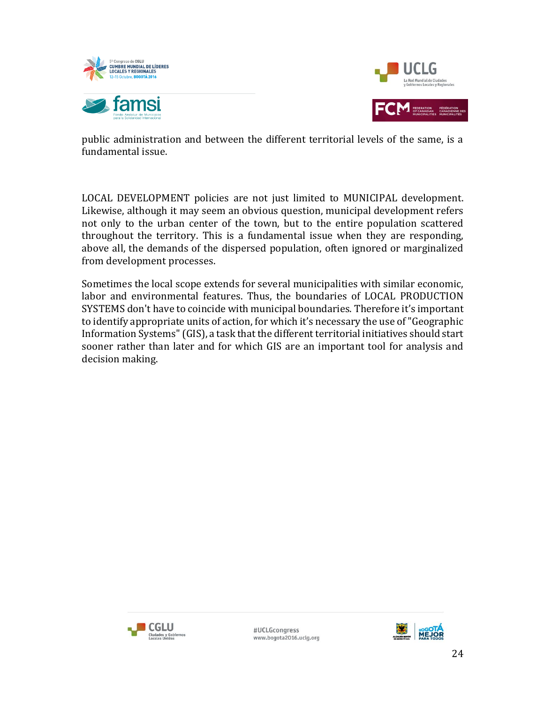



public administration and between the different territorial levels of the same, is a fundamental issue.

LOCAL DEVELOPMENT policies are not just limited to MUNICIPAL development. Likewise, although it may seem an obvious question, municipal development refers not only to the urban center of the town, but to the entire population scattered throughout the territory. This is a fundamental issue when they are responding, above all, the demands of the dispersed population, often ignored or marginalized from development processes.

Sometimes the local scope extends for several municipalities with similar economic, labor and environmental features. Thus, the boundaries of LOCAL PRODUCTION SYSTEMS don't have to coincide with municipal boundaries. Therefore it's important to identify appropriate units of action, for which it's necessary the use of "Geographic Information Systems" (GIS), a task that the different territorial initiatives should start sooner rather than later and for which GIS are an important tool for analysis and decision making.



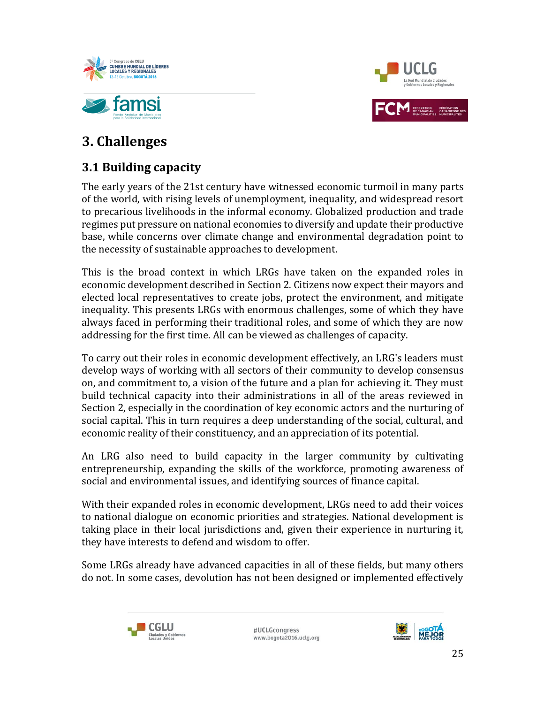



# **3. Challenges**

# **3.1 Building capacity**

The early years of the 21st century have witnessed economic turmoil in many parts of the world, with rising levels of unemployment, inequality, and widespread resort to precarious livelihoods in the informal economy. Globalized production and trade regimes put pressure on national economies to diversify and update their productive base, while concerns over climate change and environmental degradation point to the necessity of sustainable approaches to development.

This is the broad context in which LRGs have taken on the expanded roles in economic development described in Section 2. Citizens now expect their mayors and elected local representatives to create jobs, protect the environment, and mitigate inequality. This presents LRGs with enormous challenges, some of which they have always faced in performing their traditional roles, and some of which they are now addressing for the first time. All can be viewed as challenges of capacity.

To carry out their roles in economic development effectively, an LRG's leaders must develop ways of working with all sectors of their community to develop consensus on, and commitment to, a vision of the future and a plan for achieving it. They must build technical capacity into their administrations in all of the areas reviewed in Section 2, especially in the coordination of key economic actors and the nurturing of social capital. This in turn requires a deep understanding of the social, cultural, and economic reality of their constituency, and an appreciation of its potential.

An LRG also need to build capacity in the larger community by cultivating entrepreneurship, expanding the skills of the workforce, promoting awareness of social and environmental issues, and identifying sources of finance capital.

With their expanded roles in economic development, LRGs need to add their voices to national dialogue on economic priorities and strategies. National development is taking place in their local jurisdictions and, given their experience in nurturing it, they have interests to defend and wisdom to offer.

Some LRGs already have advanced capacities in all of these fields, but many others do not. In some cases, devolution has not been designed or implemented effectively



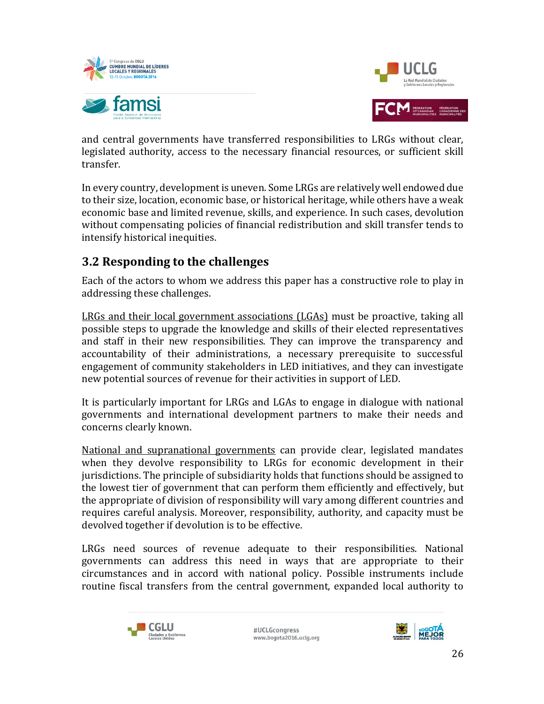



and central governments have transferred responsibilities to LRGs without clear, legislated authority, access to the necessary financial resources, or sufficient skill transfer.

In every country, development is uneven. Some LRGs are relatively well endowed due to their size, location, economic base, or historical heritage, while others have a weak economic base and limited revenue, skills, and experience. In such cases, devolution without compensating policies of financial redistribution and skill transfer tends to intensify historical inequities.

### **3.2 Responding to the challenges**

Each of the actors to whom we address this paper has a constructive role to play in addressing these challenges.

LRGs and their local government associations (LGAs) must be proactive, taking all possible steps to upgrade the knowledge and skills of their elected representatives and staff in their new responsibilities. They can improve the transparency and accountability of their administrations, a necessary prerequisite to successful engagement of community stakeholders in LED initiatives, and they can investigate new potential sources of revenue for their activities in support of LED.

It is particularly important for LRGs and LGAs to engage in dialogue with national governments and international development partners to make their needs and concerns clearly known.

National and supranational governments can provide clear, legislated mandates when they devolve responsibility to LRGs for economic development in their jurisdictions. The principle of subsidiarity holds that functions should be assigned to the lowest tier of government that can perform them efficiently and effectively, but the appropriate of division of responsibility will vary among different countries and requires careful analysis. Moreover, responsibility, authority, and capacity must be devolved together if devolution is to be effective.

LRGs need sources of revenue adequate to their responsibilities. National governments can address this need in ways that are appropriate to their circumstances and in accord with national policy. Possible instruments include routine fiscal transfers from the central government, expanded local authority to



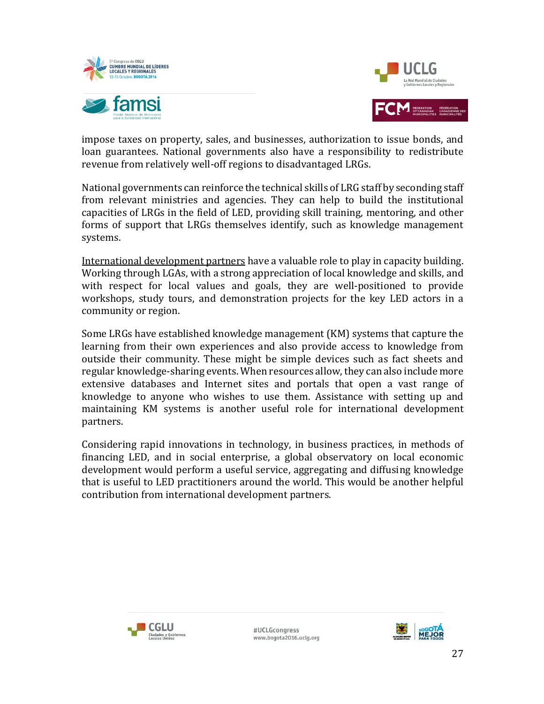



impose taxes on property, sales, and businesses, authorization to issue bonds, and loan guarantees. National governments also have a responsibility to redistribute revenue from relatively well-off regions to disadvantaged LRGs.

National governments can reinforce the technical skills of LRG staff by seconding staff from relevant ministries and agencies. They can help to build the institutional capacities of LRGs in the field of LED, providing skill training, mentoring, and other forms of support that LRGs themselves identify, such as knowledge management systems.

International development partners have a valuable role to play in capacity building. Working through LGAs, with a strong appreciation of local knowledge and skills, and with respect for local values and goals, they are well-positioned to provide workshops, study tours, and demonstration projects for the key LED actors in a community or region.

Some LRGs have established knowledge management (KM) systems that capture the learning from their own experiences and also provide access to knowledge from outside their community. These might be simple devices such as fact sheets and regular knowledge-sharing events. When resources allow, they can also include more extensive databases and Internet sites and portals that open a vast range of knowledge to anyone who wishes to use them. Assistance with setting up and maintaining KM systems is another useful role for international development partners.

Considering rapid innovations in technology, in business practices, in methods of financing LED, and in social enterprise, a global observatory on local economic development would perform a useful service, aggregating and diffusing knowledge that is useful to LED practitioners around the world. This would be another helpful contribution from international development partners.



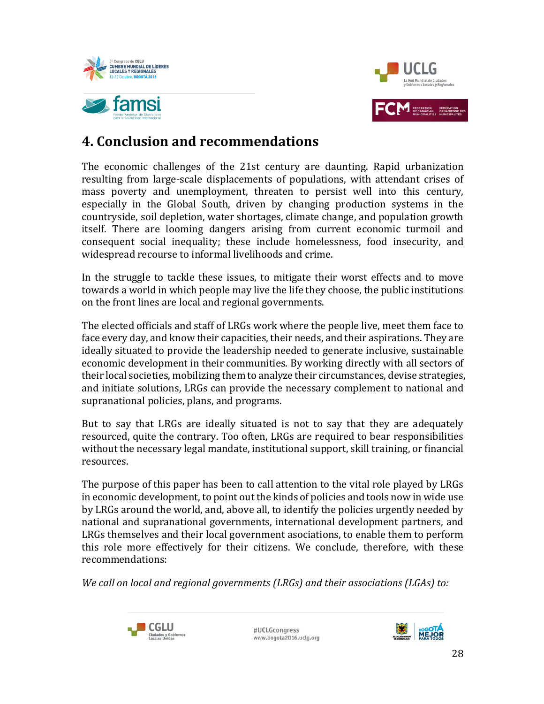



# **4. Conclusion and recommendations**

The economic challenges of the 21st century are daunting. Rapid urbanization resulting from large-scale displacements of populations, with attendant crises of mass poverty and unemployment, threaten to persist well into this century, especially in the Global South, driven by changing production systems in the countryside, soil depletion, water shortages, climate change, and population growth itself. There are looming dangers arising from current economic turmoil and consequent social inequality; these include homelessness, food insecurity, and widespread recourse to informal livelihoods and crime.

In the struggle to tackle these issues, to mitigate their worst effects and to move towards a world in which people may live the life they choose, the public institutions on the front lines are local and regional governments.

The elected officials and staff of LRGs work where the people live, meet them face to face every day, and know their capacities, their needs, and their aspirations. They are ideally situated to provide the leadership needed to generate inclusive, sustainable economic development in their communities. By working directly with all sectors of their local societies, mobilizing them to analyze their circumstances, devise strategies, and initiate solutions, LRGs can provide the necessary complement to national and supranational policies, plans, and programs.

But to say that LRGs are ideally situated is not to say that they are adequately resourced, quite the contrary. Too often, LRGs are required to bear responsibilities without the necessary legal mandate, institutional support, skill training, or financial resources.

The purpose of this paper has been to call attention to the vital role played by LRGs in economic development, to point out the kinds of policies and tools now in wide use by LRGs around the world, and, above all, to identify the policies urgently needed by national and supranational governments, international development partners, and LRGs themselves and their local government asociations, to enable them to perform this role more effectively for their citizens. We conclude, therefore, with these recommendations:

*We call on local and regional governments (LRGs) and their associations (LGAs) to:*



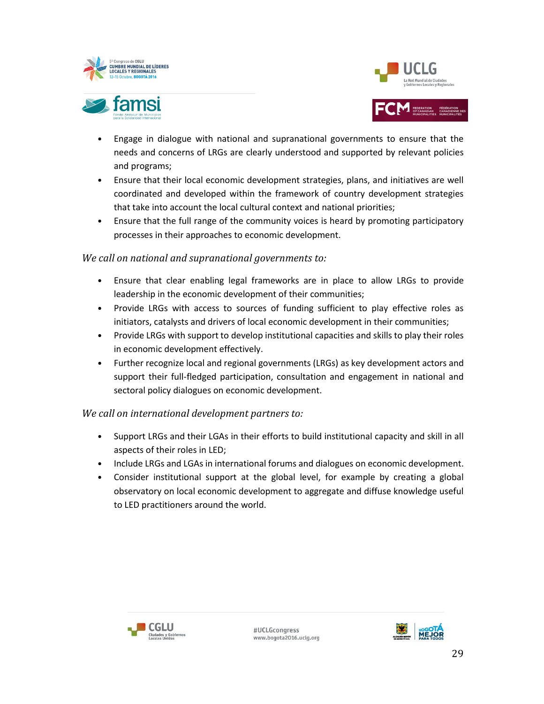



- Engage in dialogue with national and supranational governments to ensure that the needs and concerns of LRGs are clearly understood and supported by relevant policies and programs;
- Ensure that their local economic development strategies, plans, and initiatives are well coordinated and developed within the framework of country development strategies that take into account the local cultural context and national priorities;
- Ensure that the full range of the community voices is heard by promoting participatory processes in their approaches to economic development.

### *We call on national and supranational governments to:*

- Ensure that clear enabling legal frameworks are in place to allow LRGs to provide leadership in the economic development of their communities;
- Provide LRGs with access to sources of funding sufficient to play effective roles as initiators, catalysts and drivers of local economic development in their communities;
- Provide LRGs with support to develop institutional capacities and skills to play their roles in economic development effectively.
- Further recognize local and regional governments (LRGs) as key development actors and support their full-fledged participation, consultation and engagement in national and sectoral policy dialogues on economic development.

### *We call on international development partners to:*

- Support LRGs and their LGAs in their efforts to build institutional capacity and skill in all aspects of their roles in LED;
- Include LRGs and LGAs in international forums and dialogues on economic development.
- Consider institutional support at the global level, for example by creating a global observatory on local economic development to aggregate and diffuse knowledge useful to LED practitioners around the world.



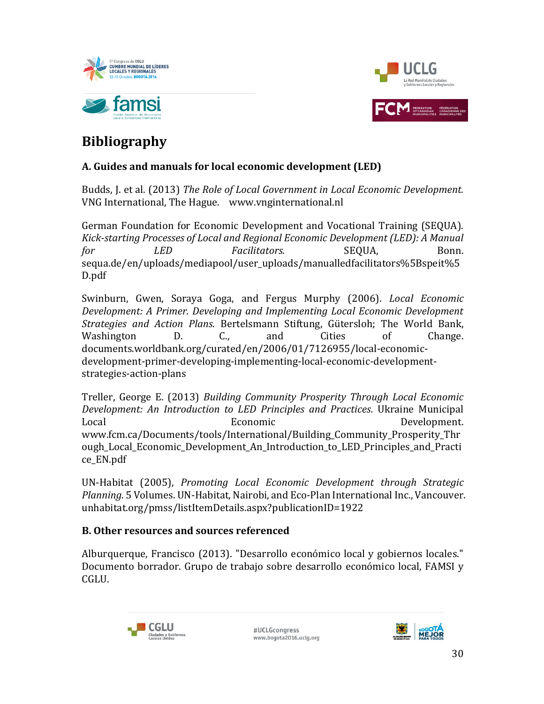



# **Bibliography**

### **A. Guides and manuals for local economic development (LED)**

Budds, J. et al. (2013) *The Role of Local Government in Local Economic Development.* VNG International, The Hague. www.vnginternational.nl

German Foundation for Economic Development and Vocational Training (SEQUA). *Kick-starting Processes of Local and Regional Economic Development (LED): A Manual for LED Facilitators.* **SEQUA.** Bonn. sequa.de/en/uploads/mediapool/user\_uploads/manualledfacilitators%5Bspeit%5 D.pdf

Swinburn, Gwen, Soraya Goga, and Fergus Murphy (2006). *Local Economic Development: A Primer. Developing and Implementing Local Economic Development Strategies and Action Plans.* Bertelsmann Stiftung, Gütersloh; The World Bank, Washington D. C., and Cities of Change. documents.worldbank.org/curated/en/2006/01/7126955/local-economicdevelopment-primer-developing-implementing-local-economic-developmentstrategies-action-plans

Treller, George E. (2013) *Building Community Prosperity Through Local Economic Development: An Introduction to LED Principles and Practices.* Ukraine Municipal Local Economic Development. www.fcm.ca/Documents/tools/International/Building\_Community\_Prosperity\_Thr ough Local Economic Development An Introduction to LED Principles and Practi ce\_EN.pdf

UN-Habitat (2005), *Promoting Local Economic Development through Strategic Planning*. 5 Volumes. UN-Habitat, Nairobi, and Eco-Plan International Inc., Vancouver. unhabitat.org/pmss/listItemDetails.aspx?publicationID=1922

### **B. Other resources and sources referenced**

Alburquerque, Francisco (2013). "Desarrollo económico local y gobiernos locales." Documento borrador. Grupo de trabajo sobre desarrollo económico local, FAMSI y CGLU.



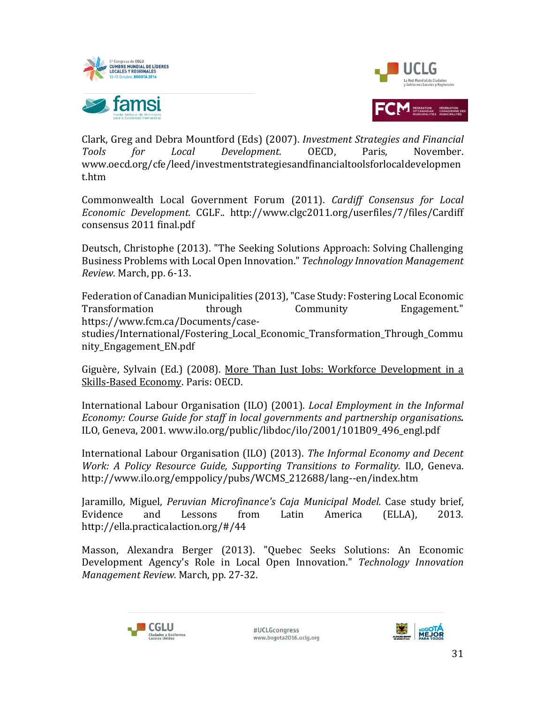



Clark, Greg and Debra Mountford (Eds) (2007). *Investment Strategies and Financial Tools for Local Development.* OECD, Paris, November. www.oecd.org/cfe/leed/investmentstrategiesandfinancialtoolsforlocaldevelopmen t.htm

Commonwealth Local Government Forum (2011). *Cardiff Consensus for Local Economic Development.* CGLF.. http://www.clgc2011.org/userfiles/7/files/Cardiff consensus 2011 final.pdf

Deutsch, Christophe (2013). "The Seeking Solutions Approach: Solving Challenging Business Problems with Local Open Innovation." *Technology Innovation Management Review.* March, pp. 6-13.

Federation of Canadian Municipalities (2013), "Case Study: Fostering Local Economic Transformation through Community Engagement." https://www.fcm.ca/Documents/casestudies/International/Fostering\_Local\_Economic\_Transformation\_Through\_Commu nity\_Engagement\_EN.pdf

Giguère, Sylvain (Ed.) (2008). More Than Just Jobs: Workforce Development in a Skills-Based Economy. Paris: OECD.

International Labour Organisation (ILO) (2001). *Local Employment in the Informal Economy: Course Guide for staff in local governments and partnership organisations.* ILO, Geneva, 2001. www.ilo.org/public/libdoc/ilo/2001/101B09\_496\_engl.pdf

International Labour Organisation (ILO) (2013). *The Informal Economy and Decent Work: A Policy Resource Guide, Supporting Transitions to Formality.* ILO, Geneva. http://www.ilo.org/emppolicy/pubs/WCMS\_212688/lang--en/index.htm

Jaramillo, Miguel, *Peruvian Microfinance's Caja Municipal Model.* Case study brief, Evidence and Lessons from Latin America (ELLA), 2013. http://ella.practicalaction.org/#/44

Masson, Alexandra Berger (2013). "Quebec Seeks Solutions: An Economic Development Agency's Role in Local Open Innovation." *Technology Innovation Management Review.* March, pp. 27-32.